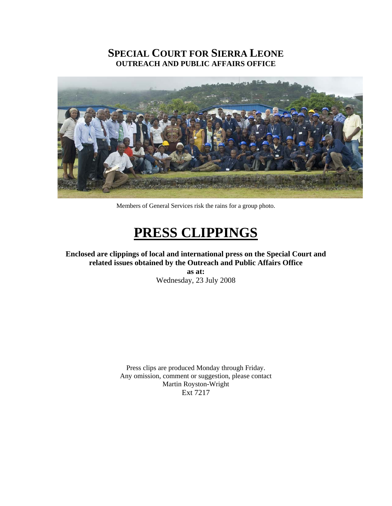### **SPECIAL COURT FOR SIERRA LEONE OUTREACH AND PUBLIC AFFAIRS OFFICE**



Members of General Services risk the rains for a group photo.

# **PRESS CLIPPINGS**

### **Enclosed are clippings of local and international press on the Special Court and related issues obtained by the Outreach and Public Affairs Office as at:**

Wednesday, 23 July 2008

Press clips are produced Monday through Friday. Any omission, comment or suggestion, please contact Martin Royston-Wright Ext 7217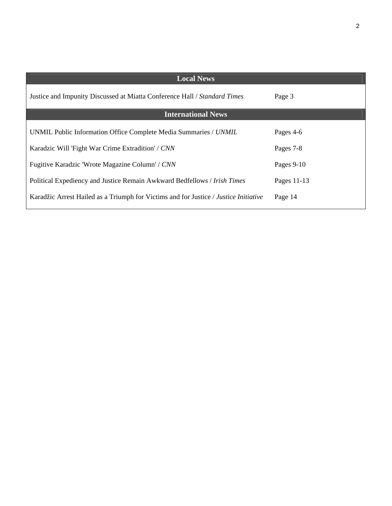| <b>Local News</b>                                                                    |             |
|--------------------------------------------------------------------------------------|-------------|
| Justice and Impunity Discussed at Miatta Conference Hall / Standard Times            | Page 3      |
| <b>International News</b>                                                            |             |
| UNMIL Public Information Office Complete Media Summaries / UNMIL                     | Pages 4-6   |
| Karadzic Will 'Fight War Crime Extradition' / CNN                                    | Pages 7-8   |
| Fugitive Karadzic 'Wrote Magazine Column' / CNN                                      | Pages 9-10  |
| Political Expediency and Justice Remain Awkward Bedfellows / Irish Times             | Pages 11-13 |
| Karadžic Arrest Hailed as a Triumph for Victims and for Justice / Justice Initiative | Page 14     |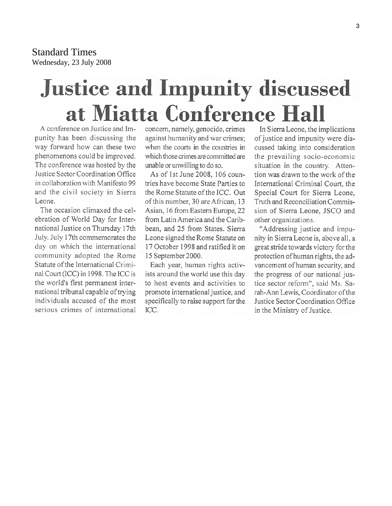Standard Times Wednesday, 23 July 2008

# **Justice and Impunity discussed** at Miatta Conference Hall

A conference on Justice and Impunity has been discussing the way forward how can these two phenomenons could be improved. The conference was hosted by the Justice Sector Coordination Office in collaboration with Manifesto 99 and the civil society in Sierra Leone.

The occasion climaxed the celebration of World Day for International Justice on Thursday 17th July. July 17th commemorates the day on which the international community adopted the Rome Statute of the International Criminal Court (ICC) in 1998. The ICC is the world's first permanent international tribunal capable of trying individuals accused of the most serious crimes of international concern, namely, genocide, crimes against humanity and war crimes; when the courts in the countries in which those crimes are committed are unable or unwilling to do so.

As of 1st June 2008, 106 countries have become State Parties to the Rome Statute of the ICC. Out of this number, 30 are African, 13 Asian, 16 from Eastern Europe, 22 from Latin America and the Caribbean, and 25 from States. Sierra Leone signed the Rome Statute on 17 October 1998 and ratified it on 15 September 2000.

Each year, human rights activists around the world use this day to host events and activities to promote international justice, and specifically to raise support for the ICC.

In Sierra Leone, the implications of justice and impunity were discussed taking into consideration the prevailing socio-economic situation in the country. Attention was drawn to the work of the International Criminal Court, the Special Court for Sierra Leone, Truth and Reconciliation Commission of Sierra Leone, JSCO and other organizations.

"Addressing justice and impunity in Sierra Leone is, above all, a great stride towards victory for the protection of human rights, the advancement of human security, and the progress of our national justice sector reform", said Ms. Sarah-Ann Lewis, Coordinator of the Justice Sector Coordination Office in the Ministry of Justice.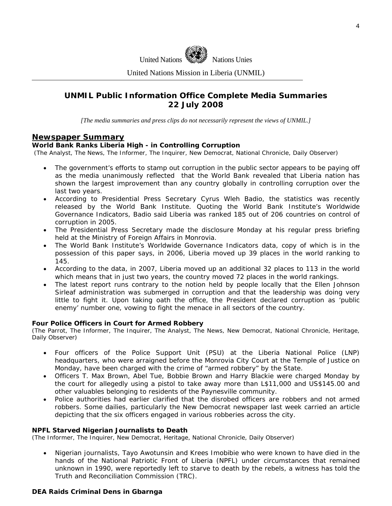

United Nations Mission in Liberia (UNMIL)

### **UNMIL Public Information Office Complete Media Summaries 22 July 2008**

*[The media summaries and press clips do not necessarily represent the views of UNMIL.]* 

### **Newspaper Summary**

### **World Bank Ranks Liberia High - in Controlling Corruption**

(The Analyst, The News, The Informer, The Inquirer, New Democrat, National Chronicle, Daily Observer)

- The government's efforts to stamp out corruption in the public sector appears to be paying off as the media unanimously reflected that the World Bank revealed that Liberia nation has shown the largest improvement than any country globally in controlling corruption over the last two years.
- According to Presidential Press Secretary Cyrus Wleh Badio, the statistics was recently released by the World Bank Institute. Quoting the World Bank Institute's Worldwide Governance Indicators, Badio said Liberia was ranked 185 out of 206 countries on control of corruption in 2005.
- The Presidential Press Secretary made the disclosure Monday at his regular press briefing held at the Ministry of Foreign Affairs in Monrovia.
- The World Bank Institute's Worldwide Governance Indicators data, copy of which is in the possession of this paper says, in 2006, Liberia moved up 39 places in the world ranking to 145.
- According to the data, in 2007, Liberia moved up an additional 32 places to 113 in the world which means that in just two years, the country moved 72 places in the world rankings.
- The latest report runs contrary to the notion held by people locally that the Ellen Johnson Sirleaf administration was submerged in corruption and that the leadership was doing very little to fight it. Upon taking oath the office, the President declared corruption as 'public enemy' number one, vowing to fight the menace in all sectors of the country.

### **Four Police Officers in Court for Armed Robbery**

(The Parrot, The Informer, The Inquirer, The Analyst, The News, New Democrat, National Chronicle, Heritage, Daily Observer)

- Four officers of the Police Support Unit (PSU) at the Liberia National Police (LNP) headquarters, who were arraigned before the Monrovia City Court at the Temple of Justice on Monday, have been charged with the crime of "armed robbery" by the State.
- Officers T. Max Brown, Abel Tue, Bobbie Brown and Harry Blackie were charged Monday by the court for allegedly using a pistol to take away more than L\$11,000 and US\$145.00 and other valuables belonging to residents of the Paynesville community.
- Police authorities had earlier clarified that the disrobed officers are robbers and not armed robbers. Some dailies, particularly the New Democrat newspaper last week carried an article depicting that the six officers engaged in various robberies across the city.

### **NPFL Starved Nigerian Journalists to Death**

(The Informer, The Inquirer, New Democrat, Heritage, National Chronicle, Daily Observer)

• Nigerian journalists, Tayo Awotunsin and Krees Imobibie who were known to have died in the hands of the National Patriotic Front of Liberia (NPFL) under circumstances that remained unknown in 1990, were reportedly left to starve to death by the rebels, a witness has told the Truth and Reconciliation Commission (TRC).

### **DEA Raids Criminal Dens in Gbarnga**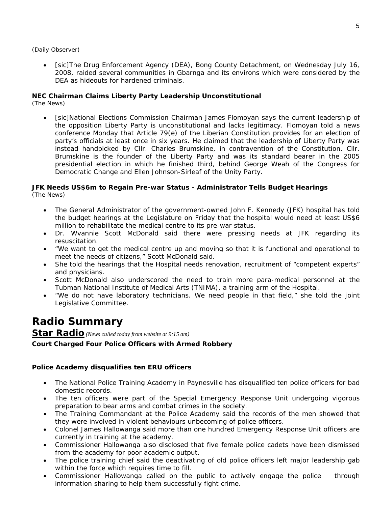### (Daily Observer)

• [sic]The Drug Enforcement Agency (DEA), Bong County Detachment, on Wednesday July 16, 2008, raided several communities in Gbarnga and its environs which were considered by the DEA as hideouts for hardened criminals.

### **NEC Chairman Claims Liberty Party Leadership Unconstitutional**

(The News)

• [sic]National Elections Commission Chairman James Flomoyan says the current leadership of the opposition Liberty Party is unconstitutional and lacks legitimacy. Flomoyan told a news conference Monday that Article 79(e) of the Liberian Constitution provides for an election of party's officials at least once in six years. He claimed that the leadership of Liberty Party was instead handpicked by Cllr. Charles Brumskine, in contravention of the Constitution. Cllr. Brumskine is the founder of the Liberty Party and was its standard bearer in the 2005 presidential election in which he finished third, behind George Weah of the Congress for Democratic Change and Ellen Johnson-Sirleaf of the Unity Party.

#### **JFK Needs US\$6m to Regain Pre-war Status - Administrator Tells Budget Hearings**  (The News)

- The General Administrator of the government-owned John F. Kennedy (JFK) hospital has told the budget hearings at the Legislature on Friday that the hospital would need at least US\$6 million to rehabilitate the medical centre to its pre-war status.
- Dr. Wvannie Scott McDonald said there were pressing needs at JFK regarding its resuscitation.
- "We want to get the medical centre up and moving so that it is functional and operational to meet the needs of citizens," Scott McDonald said.
- She told the hearings that the Hospital needs renovation, recruitment of "competent experts" and physicians.
- Scott McDonald also underscored the need to train more para-medical personnel at the Tubman National Institute of Medical Arts (TNIMA), a training arm of the Hospital.
- "We do not have laboratory technicians. We need people in that field," she told the joint Legislative Committee.

### **Radio Summary**

**Star Radio** *(News culled today from website at 9:15 am)* 

**Court Charged Four Police Officers with Armed Robbery** 

### **Police Academy disqualifies ten ERU officers**

- The National Police Training Academy in Paynesville has disqualified ten police officers for bad domestic records.
- The ten officers were part of the Special Emergency Response Unit undergoing vigorous preparation to bear arms and combat crimes in the society.
- The Training Commandant at the Police Academy said the records of the men showed that they were involved in violent behaviours unbecoming of police officers.
- Colonel James Hallowanga said more than one hundred Emergency Response Unit officers are currently in training at the academy.
- Commissioner Hallowanga also disclosed that five female police cadets have been dismissed from the academy for poor academic output.
- The police training chief said the deactivating of old police officers left major leadership gab within the force which requires time to fill.
- Commissioner Hallowanga called on the public to actively engage the police through information sharing to help them successfully fight crime.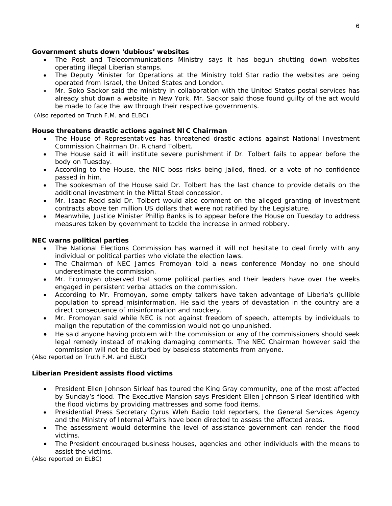### **Government shuts down 'dubious' websites**

- The Post and Telecommunications Ministry says it has begun shutting down websites operating illegal Liberian stamps.
- The Deputy Minister for Operations at the Ministry told Star radio the websites are being operated from Israel, the United States and London.
- Mr. Soko Sackor said the ministry in collaboration with the United States postal services has already shut down a website in New York. Mr. Sackor said those found guilty of the act would be made to face the law through their respective governments.

 *(Also reported on Truth F.M. and ELBC)*

### **House threatens drastic actions against NIC Chairman**

- The House of Representatives has threatened drastic actions against National Investment Commission Chairman Dr. Richard Tolbert.
- The House said it will institute severe punishment if Dr. Tolbert fails to appear before the body on Tuesday.
- According to the House, the NIC boss risks being jailed, fined, or a vote of no confidence passed in him.
- The spokesman of the House said Dr. Tolbert has the last chance to provide details on the additional investment in the Mittal Steel concession.
- Mr. Isaac Redd said Dr. Tolbert would also comment on the alleged granting of investment contracts above ten million US dollars that were not ratified by the Legislature.
- Meanwhile, Justice Minister Phillip Banks is to appear before the House on Tuesday to address measures taken by government to tackle the increase in armed robbery.

### **NEC warns political parties**

- The National Elections Commission has warned it will not hesitate to deal firmly with any individual or political parties who violate the election laws.
- The Chairman of NEC James Fromoyan told a news conference Monday no one should underestimate the commission.
- Mr. Fromoyan observed that some political parties and their leaders have over the weeks engaged in persistent verbal attacks on the commission.
- According to Mr. Fromoyan, some empty talkers have taken advantage of Liberia's gullible population to spread misinformation. He said the years of devastation in the country are a direct consequence of misinformation and mockery.
- Mr. Fromoyan said while NEC is not against freedom of speech, attempts by individuals to malign the reputation of the commission would not go unpunished.
- He said anyone having problem with the commission or any of the commissioners should seek legal remedy instead of making damaging comments. The NEC Chairman however said the commission will not be disturbed by baseless statements from anyone.

*(Also reported on Truth F.M. and ELBC)*

#### **Liberian President assists flood victims**

- President Ellen Johnson Sirleaf has toured the King Gray community, one of the most affected by Sunday's flood. The Executive Mansion says President Ellen Johnson Sirleaf identified with the flood victims by providing mattresses and some food items.
- Presidential Press Secretary Cyrus Wleh Badio told reporters, the General Services Agency and the Ministry of Internal Affairs have been directed to assess the affected areas.
- The assessment would determine the level of assistance government can render the flood victims.
- The President encouraged business houses, agencies and other individuals with the means to assist the victims.

*(Also reported on ELBC)*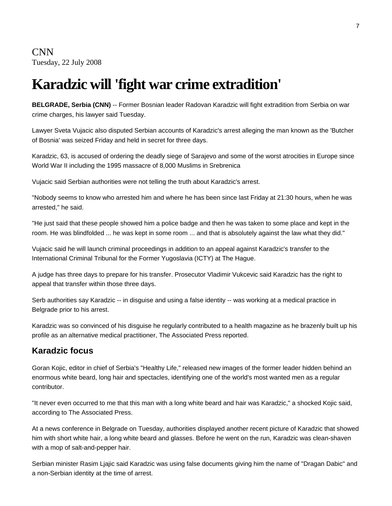CNN Tuesday, 22 July 2008

# **Karadzic will 'fight war crime extradition'**

**BELGRADE, Serbia (CNN)** -- Former Bosnian leader Radovan Karadzic will fight extradition from Serbia on war crime charges, his lawyer said Tuesday.

[Lawy](http://edition.cnn.com/2008/WORLD/europe/07/22/serb.arrest/index.html)er Sveta Vujacic also disputed Serbian accounts of Karadzic's arrest alleging the man known as the 'Butcher of Bosnia' was seized Friday and held in secret for three days.

Karadzic, 63, is accused of ordering the deadly siege of Sarajevo and some of the worst atrocities in Europe since World War II including the 1995 massacre of 8,000 Muslims in Srebrenica

Vujacic said Serbian authorities were not telling the truth about Karadzic's arrest.

"Nobody seems to know who arrested him and where he has been since last Friday at 21:30 hours, when he was arrested," he said.

"He just said that these people showed him a police badge and then he was taken to some place and kept in the room. He was blindfolded ... he was kept in some room ... and that is absolutely against the law what they did."

Vujacic said he will launch criminal proceedings in addition to an appeal against Karadzic's transfer to the International Criminal Tribunal for the Former Yugoslavia (ICTY) at The Hague.

A judge has three days to prepare for his transfer. Prosecutor Vladimir Vukcevic said Karadzic has the right to appeal that transfer within those three days.

Serb authorities say Karadzic -- in disguise and using a false identity -- was working at a medical practice in Belgrade prior to his arrest.

Karadzic was so convinced of his disguise he regularly contributed to a health magazine as he brazenly built up his profile as an alternative medical practitioner, The Associated Press reported.

### **Karadzic focus**

Goran Kojic, editor in chief of Serbia's "Healthy Life," released new images of the former leader hidden behind an enormous white beard, long hair and spectacles, identifying one of the world's most wanted men as a regular contributor.

"It never even occurred to me that this man with a long white beard and hair was Karadzic," a shocked Kojic said, according to The Associated Press.

At a news conference in Belgrade on Tuesday, authorities displayed another recent picture of Karadzic that showed him with short white hair, a long white beard and glasses. Before he went on the run, Karadzic was clean-shaven with a mop of salt-and-pepper hair.

Serbian minister Rasim Ljajic said Karadzic was using false documents giving him the name of "Dragan Dabic" and a non-Serbian identity at the time of arrest.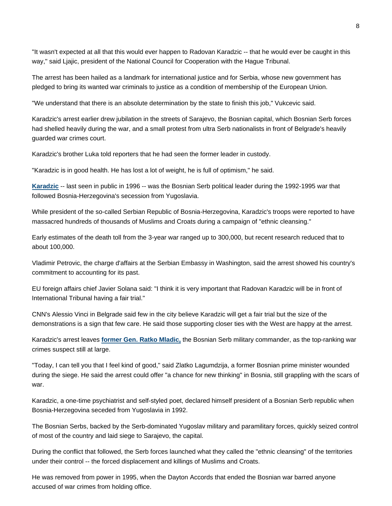"It wasn't expected at all that this would ever happen to Radovan Karadzic -- that he would ever be caught in this way," said Ljajic, president of the National Council for Cooperation with the Hague Tribunal.

The arrest has been hailed as a landmark for international justice and for Serbia, whose new government has pledged to bring its wanted war criminals to justice as a condition of membership of the European Union.

"We understand that there is an absolute determination by the state to finish this job," Vukcevic said.

Karadzic's arrest earlier drew jubilation in the streets of Sarajevo, the Bosnian capital, which Bosnian Serb forces had shelled heavily during the war, and a small protest from ultra Serb nationalists in front of Belgrade's heavily guarded war crimes court.

Karadzic's brother Luka told reporters that he had seen the former leader in custody.

"Karadzic is in good health. He has lost a lot of weight, he is full of optimism," he said.

**[Karadzic](http://topics.edition.cnn.com/topics/Radovan_Karadzic)** -- last seen in public in 1996 -- was the Bosnian Serb political leader during the 1992-1995 war that followed Bosnia-Herzegovina's secession from Yugoslavia.

While president of the so-called Serbian Republic of Bosnia-Herzegovina, Karadzic's troops were reported to have massacred hundreds of thousands of Muslims and Croats during a campaign of "ethnic cleansing."

Early estimates of the death toll from the 3-year war ranged up to 300,000, but recent research reduced that to about 100,000.

Vladimir Petrovic, the charge d'affairs at the Serbian Embassy in Washington, said the arrest showed his country's commitment to accounting for its past.

EU foreign affairs chief Javier Solana said: "I think it is very important that Radovan Karadzic will be in front of International Tribunal having a fair trial."

CNN's Alessio Vinci in Belgrade said few in the city believe Karadzic will get a fair trial but the size of the demonstrations is a sign that few care. He said those supporting closer ties with the West are happy at the arrest.

Karadzic's arrest leaves **[former Gen. Ratko Mladic,](http://topics.edition.cnn.com/topics/Ratko_Mladic)** the Bosnian Serb military commander, as the top-ranking war crimes suspect still at large.

"Today, I can tell you that I feel kind of good," said Zlatko Lagumdzija, a former Bosnian prime minister wounded during the siege. He said the arrest could offer "a chance for new thinking" in Bosnia, still grappling with the scars of war.

Karadzic, a one-time psychiatrist and self-styled poet, declared himself president of a Bosnian Serb republic when Bosnia-Herzegovina seceded from Yugoslavia in 1992.

The Bosnian Serbs, backed by the Serb-dominated Yugoslav military and paramilitary forces, quickly seized control of most of the country and laid siege to Sarajevo, the capital.

During the conflict that followed, the Serb forces launched what they called the "ethnic cleansing" of the territories under their control -- the forced displacement and killings of Muslims and Croats.

He was removed from power in 1995, when the Dayton Accords that ended the Bosnian war barred anyone accused of war crimes from holding office.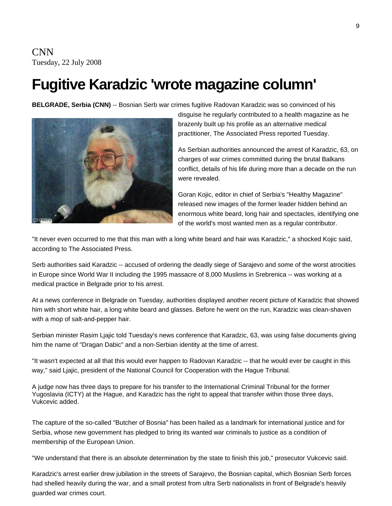CNN Tuesday, 22 July 2008

# **Fugitive Karadzic 'wrote magazine column'**

**BELGRADE, Serbia (CNN)** -- Bosnian Serb war crimes fugitive Radovan Karadzic was so convinced of his



disguise he regularly contributed to a health magazine as he brazenly built up his profile as an alternative medical practitioner, The Associated Press reported Tuesday.

[As Se](http://edition.cnn.com/2008/WORLD/europe/07/22/serb.arrest/index.html)rbian authorities announced the arrest of Karadzic, 63, on charges of war crimes committed during the brutal Balkans conflict, details of his life during more than a decade on the run were revealed.

Goran Kojic, editor in chief of Serbia's "Healthy Magazine" released new images of the former leader hidden behind an enormous white beard, long hair and spectacles, identifying one of the world's most wanted men as a regular contributor.

"It never even occurred to me that this man with a long white beard and hair was Karadzic," a shocked Kojic said, according to The Associated Press.

Serb authorities said Karadzic -- accused of ordering the deadly siege of Sarajevo and some of the worst atrocities in Europe since World War II including the 1995 massacre of 8,000 Muslims in Srebrenica -- was working at a medical practice in Belgrade prior to his arrest.

At a news conference in Belgrade on Tuesday, authorities displayed another recent picture of Karadzic that showed him with short white hair, a long white beard and glasses. Before he went on the run, Karadzic was clean-shaven with a mop of salt-and-pepper hair.

Serbian minister Rasim Ljajic told Tuesday's news conference that Karadzic, 63, was using false documents giving him the name of "Dragan Dabic" and a non-Serbian identity at the time of arrest.

"It wasn't expected at all that this would ever happen to Radovan Karadzic -- that he would ever be caught in this way," said Ljajic, president of the National Council for Cooperation with the Hague Tribunal.

A judge now has three days to prepare for his transfer to the International Criminal Tribunal for the former Yugoslavia (ICTY) at the Hague, and Karadzic has the right to appeal that transfer within those three days, Vukcevic added.

The capture of the so-called "Butcher of Bosnia" has been hailed as a landmark for international justice and for Serbia, whose new government has pledged to bring its wanted war criminals to justice as a condition of membership of the European Union.

"We understand that there is an absolute determination by the state to finish this job," prosecutor Vukcevic said.

Karadzic's arrest earlier drew jubilation in the streets of Sarajevo, the Bosnian capital, which Bosnian Serb forces had shelled heavily during the war, and a small protest from ultra Serb nationalists in front of Belgrade's heavily guarded war crimes court.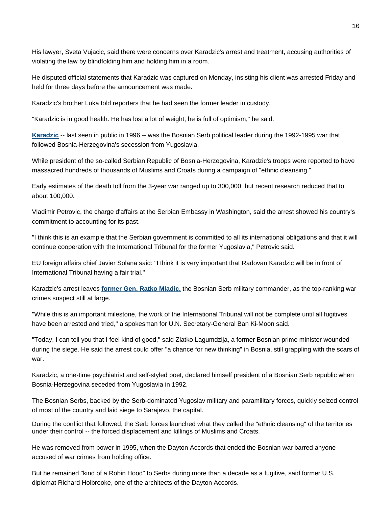His lawyer, Sveta Vujacic, said there were concerns over Karadzic's arrest and treatment, accusing authorities of violating the law by blindfolding him and holding him in a room.

He disputed official statements that Karadzic was captured on Monday, insisting his client was arrested Friday and held for three days before the announcement was made.

Karadzic's brother Luka told reporters that he had seen the former leader in custody.

"Karadzic is in good health. He has lost a lot of weight, he is full of optimism," he said.

**[Karadzic](http://topics.edition.cnn.com/topics/Radovan_Karadzic)** -- last seen in public in 1996 -- was the Bosnian Serb political leader during the 1992-1995 war that followed Bosnia-Herzegovina's secession from Yugoslavia.

While president of the so-called Serbian Republic of Bosnia-Herzegovina, Karadzic's troops were reported to have massacred hundreds of thousands of Muslims and Croats during a campaign of "ethnic cleansing."

Early estimates of the death toll from the 3-year war ranged up to 300,000, but recent research reduced that to about 100,000.

Vladimir Petrovic, the charge d'affairs at the Serbian Embassy in Washington, said the arrest showed his country's commitment to accounting for its past.

"I think this is an example that the Serbian government is committed to all its international obligations and that it will continue cooperation with the International Tribunal for the former Yugoslavia," Petrovic said.

EU foreign affairs chief Javier Solana said: "I think it is very important that Radovan Karadzic will be in front of International Tribunal having a fair trial."

Karadzic's arrest leaves **[former Gen. Ratko Mladic,](http://topics.edition.cnn.com/topics/Ratko_Mladic)** the Bosnian Serb military commander, as the top-ranking war crimes suspect still at large.

"While this is an important milestone, the work of the International Tribunal will not be complete until all fugitives have been arrested and tried," a spokesman for U.N. Secretary-General Ban Ki-Moon said.

"Today, I can tell you that I feel kind of good," said Zlatko Lagumdzija, a former Bosnian prime minister wounded during the siege. He said the arrest could offer "a chance for new thinking" in Bosnia, still grappling with the scars of war.

Karadzic, a one-time psychiatrist and self-styled poet, declared himself president of a Bosnian Serb republic when Bosnia-Herzegovina seceded from Yugoslavia in 1992.

The Bosnian Serbs, backed by the Serb-dominated Yugoslav military and paramilitary forces, quickly seized control of most of the country and laid siege to Sarajevo, the capital.

During the conflict that followed, the Serb forces launched what they called the "ethnic cleansing" of the territories under their control -- the forced displacement and killings of Muslims and Croats.

He was removed from power in 1995, when the Dayton Accords that ended the Bosnian war barred anyone accused of war crimes from holding office.

But he remained "kind of a Robin Hood" to Serbs during more than a decade as a fugitive, said former U.S. diplomat Richard Holbrooke, one of the architects of the Dayton Accords.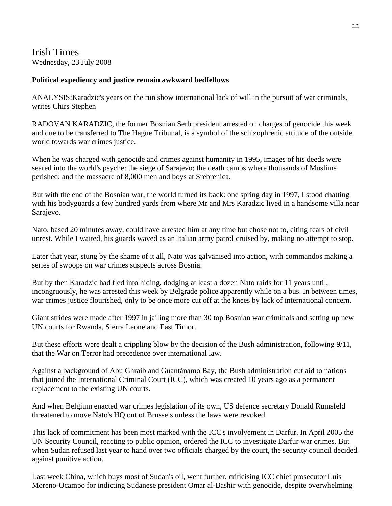### Irish Times Wednesday, 23 July 2008

### **Political expediency and justice remain awkward bedfellows**

ANALYSIS:Karadzic's years on the run show international lack of will in the pursuit of war criminals, writes Chirs Stephen

RADOVAN KARADZIC, the former Bosnian Serb president arrested on charges of genocide this week and due to be transferred to The Hague Tribunal, is a symbol of the schizophrenic attitude of the outside world towards war crimes justice.

When he was charged with genocide and crimes against humanity in 1995, images of his deeds were seared into the world's psyche: the siege of Sarajevo; the death camps where thousands of Muslims perished; and the massacre of 8,000 men and boys at Srebrenica.

But with the end of the Bosnian war, the world turned its back: one spring day in 1997, I stood chatting with his bodyguards a few hundred yards from where Mr and Mrs Karadzic lived in a handsome villa near Sarajevo.

Nato, based 20 minutes away, could have arrested him at any time but chose not to, citing fears of civil unrest. While I waited, his guards waved as an Italian army patrol cruised by, making no attempt to stop.

Later that year, stung by the shame of it all, Nato was galvanised into action, with commandos making a series of swoops on war crimes suspects across Bosnia.

But by then Karadzic had fled into hiding, dodging at least a dozen Nato raids for 11 years until, incongruously, he was arrested this week by Belgrade police apparently while on a bus. In between times, war crimes justice flourished, only to be once more cut off at the knees by lack of international concern.

Giant strides were made after 1997 in jailing more than 30 top Bosnian war criminals and setting up new UN courts for Rwanda, Sierra Leone and East Timor.

But these efforts were dealt a crippling blow by the decision of the Bush administration, following 9/11, that the War on Terror had precedence over international law.

Against a background of Abu Ghraib and Guantánamo Bay, the Bush administration cut aid to nations that joined the International Criminal Court (ICC), which was created 10 years ago as a permanent replacement to the existing UN courts.

And when Belgium enacted war crimes legislation of its own, US defence secretary Donald Rumsfeld threatened to move Nato's HQ out of Brussels unless the laws were revoked.

This lack of commitment has been most marked with the ICC's involvement in Darfur. In April 2005 the UN Security Council, reacting to public opinion, ordered the ICC to investigate Darfur war crimes. But when Sudan refused last year to hand over two officials charged by the court, the security council decided against punitive action.

Last week China, which buys most of Sudan's oil, went further, criticising ICC chief prosecutor Luis Moreno-Ocampo for indicting Sudanese president Omar al-Bashir with genocide, despite overwhelming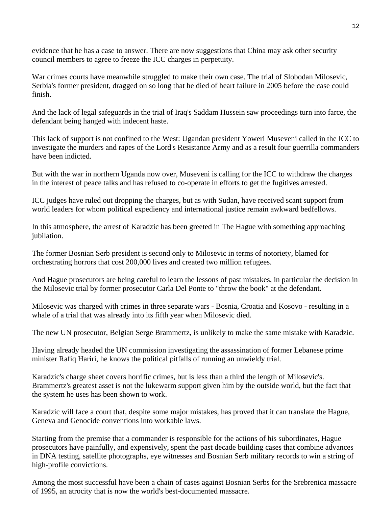evidence that he has a case to answer. There are now suggestions that China may ask other security council members to agree to freeze the ICC charges in perpetuity.

War crimes courts have meanwhile struggled to make their own case. The trial of Slobodan Milosevic, Serbia's former president, dragged on so long that he died of heart failure in 2005 before the case could finish.

And the lack of legal safeguards in the trial of Iraq's Saddam Hussein saw proceedings turn into farce, the defendant being hanged with indecent haste.

This lack of support is not confined to the West: Ugandan president Yoweri Museveni called in the ICC to investigate the murders and rapes of the Lord's Resistance Army and as a result four guerrilla commanders have been indicted.

But with the war in northern Uganda now over, Museveni is calling for the ICC to withdraw the charges in the interest of peace talks and has refused to co-operate in efforts to get the fugitives arrested.

ICC judges have ruled out dropping the charges, but as with Sudan, have received scant support from world leaders for whom political expediency and international justice remain awkward bedfellows.

In this atmosphere, the arrest of Karadzic has been greeted in The Hague with something approaching jubilation.

The former Bosnian Serb president is second only to Milosevic in terms of notoriety, blamed for orchestrating horrors that cost 200,000 lives and created two million refugees.

And Hague prosecutors are being careful to learn the lessons of past mistakes, in particular the decision in the Milosevic trial by former prosecutor Carla Del Ponte to "throw the book" at the defendant.

Milosevic was charged with crimes in three separate wars - Bosnia, Croatia and Kosovo - resulting in a whale of a trial that was already into its fifth year when Milosevic died.

The new UN prosecutor, Belgian Serge Brammertz, is unlikely to make the same mistake with Karadzic.

Having already headed the UN commission investigating the assassination of former Lebanese prime minister Rafiq Hariri, he knows the political pitfalls of running an unwieldy trial.

Karadzic's charge sheet covers horrific crimes, but is less than a third the length of Milosevic's. Brammertz's greatest asset is not the lukewarm support given him by the outside world, but the fact that the system he uses has been shown to work.

Karadzic will face a court that, despite some major mistakes, has proved that it can translate the Hague, Geneva and Genocide conventions into workable laws.

Starting from the premise that a commander is responsible for the actions of his subordinates, Hague prosecutors have painfully, and expensively, spent the past decade building cases that combine advances in DNA testing, satellite photographs, eye witnesses and Bosnian Serb military records to win a string of high-profile convictions.

Among the most successful have been a chain of cases against Bosnian Serbs for the Srebrenica massacre of 1995, an atrocity that is now the world's best-documented massacre.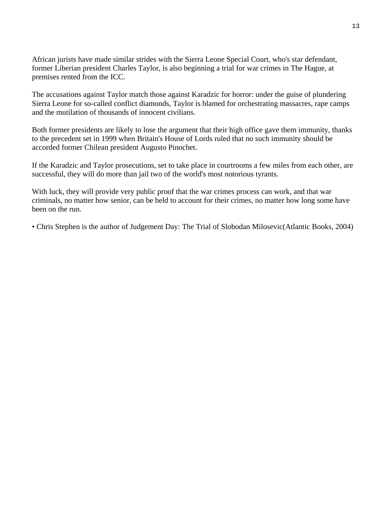African jurists have made similar strides with the Sierra Leone Special Court, who's star defendant, former Liberian president Charles Taylor, is also beginning a trial for war crimes in The Hague, at premises rented from the ICC.

The accusations against Taylor match those against Karadzic for horror: under the guise of plundering Sierra Leone for so-called conflict diamonds, Taylor is blamed for orchestrating massacres, rape camps and the mutilation of thousands of innocent civilians.

Both former presidents are likely to lose the argument that their high office gave them immunity, thanks to the precedent set in 1999 when Britain's House of Lords ruled that no such immunity should be accorded former Chilean president Augusto Pinochet.

If the Karadzic and Taylor prosecutions, set to take place in courtrooms a few miles from each other, are successful, they will do more than jail two of the world's most notorious tyrants.

With luck, they will provide very public proof that the war crimes process can work, and that war criminals, no matter how senior, can be held to account for their crimes, no matter how long some have been on the run.

• Chris Stephen is the author of Judgement Day: The Trial of Slobodan Milosevic(Atlantic Books, 2004)